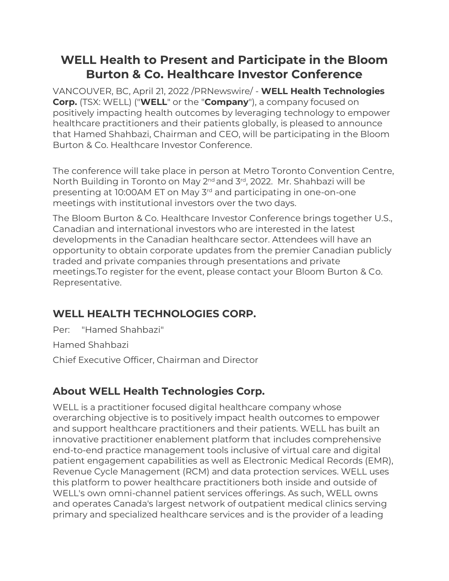# **WELL Health to Present and Participate in the Bloom Burton & Co. Healthcare Investor Conference**

VANCOUVER, BC, April 21, 2022 /PRNewswire/ - **WELL Health Technologies Corp.** (TSX: WELL) ("**WELL**" or the "**Company**"), a company focused on positively impacting health outcomes by leveraging technology to empower healthcare practitioners and their patients globally, is pleased to announce that Hamed Shahbazi, Chairman and CEO, will be participating in the Bloom Burton & Co. Healthcare Investor Conference.

The conference will take place in person at Metro Toronto Convention Centre, North Building in Toronto on May 2<sup>nd</sup> and 3<sup>rd</sup>, 2022. Mr. Shahbazi will be presenting at 10:00AM ET on May 3rd and participating in one-on-one meetings with institutional investors over the two days.

The Bloom Burton & Co. Healthcare Investor Conference brings together U.S., Canadian and international investors who are interested in the latest developments in the Canadian healthcare sector. Attendees will have an opportunity to obtain corporate updates from the premier Canadian publicly traded and private companies through presentations and private meetings.To register for the event, please contact your Bloom Burton & Co. Representative.

## **WELL HEALTH TECHNOLOGIES CORP.**

Per: "Hamed Shahbazi"

Hamed Shahbazi

Chief Executive Officer, Chairman and Director

## **About WELL Health Technologies Corp.**

WELL is a practitioner focused digital healthcare company whose overarching objective is to positively impact health outcomes to empower and support healthcare practitioners and their patients. WELL has built an innovative practitioner enablement platform that includes comprehensive end-to-end practice management tools inclusive of virtual care and digital patient engagement capabilities as well as Electronic Medical Records (EMR), Revenue Cycle Management (RCM) and data protection services. WELL uses this platform to power healthcare practitioners both inside and outside of WELL's own omni-channel patient services offerings. As such, WELL owns and operates Canada's largest network of outpatient medical clinics serving primary and specialized healthcare services and is the provider of a leading